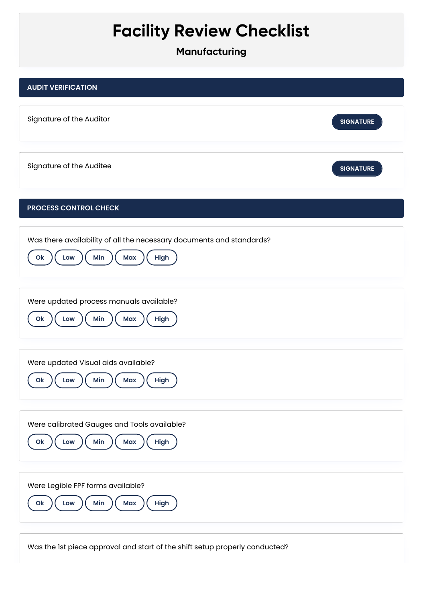## **Facility Review Checklist**

**Manufacturing**



Was the 1st piece approval and start of the shift setup properly conducted?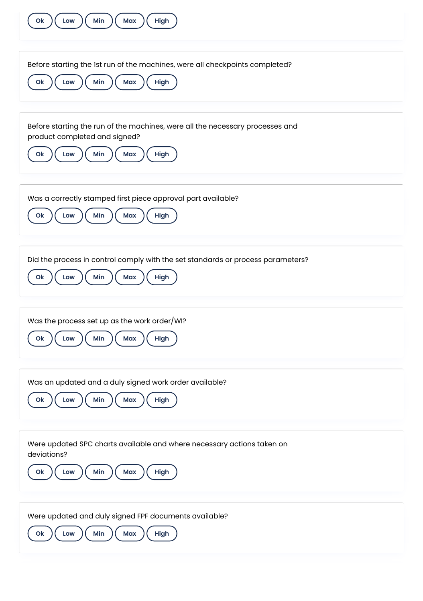| Min<br>Max<br>High<br>Ok<br>Low                                                                                                                               |
|---------------------------------------------------------------------------------------------------------------------------------------------------------------|
| Before starting the 1st run of the machines, were all checkpoints completed?<br>Min<br>High<br>O <sub>k</sub><br>Max<br>Low                                   |
| Before starting the run of the machines, were all the necessary processes and<br>product completed and signed?<br>Min<br>High<br>O <sub>k</sub><br>Low<br>Max |
| Was a correctly stamped first piece approval part available?<br>Min<br>Max<br>High<br>Ok<br>Low                                                               |
| Did the process in control comply with the set standards or process parameters?<br>Min<br>Max<br>High<br>Ok<br>Low                                            |
| Was the process set up as the work order/WI?<br>Min<br>Max<br>High<br>Ok<br>Low                                                                               |
| Was an updated and a duly signed work order available?<br>Min<br>High<br>O <sub>k</sub><br>Max<br>Low                                                         |
| Were updated SPC charts available and where necessary actions taken on<br>deviations?<br>Min<br>High<br>Max<br>Ok<br>Low                                      |
| Were updated and duly signed FPF documents available?<br>Min<br>Ok<br>Max<br>High<br>Low                                                                      |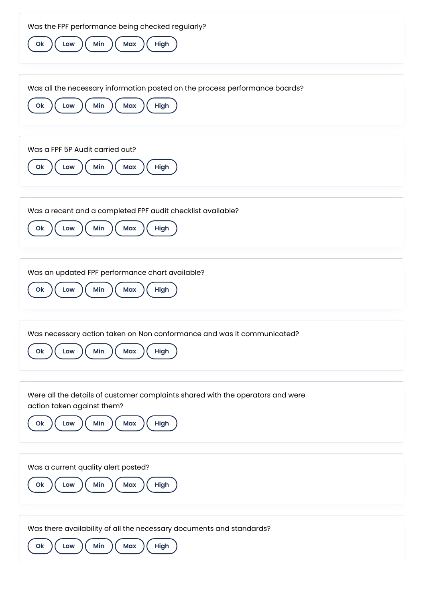| Was the FPF performance being checked regularly?<br>Min<br>Max<br>High<br>Low<br>O <sub>k</sub>                                                             |
|-------------------------------------------------------------------------------------------------------------------------------------------------------------|
| Was all the necessary information posted on the process performance boards?<br>Min<br>High<br>Max<br>O <sub>k</sub><br>Low                                  |
| Was a FPF 5P Audit carried out?<br>Min<br>O <sub>k</sub><br>Max<br>High<br>Low                                                                              |
| Was a recent and a completed FPF audit checklist available?<br>Min<br>Max<br>High<br>Ok<br>Low                                                              |
| Was an updated FPF performance chart available?<br>Min<br>Max<br>High<br>Low<br>Ok                                                                          |
| Was necessary action taken on Non conformance and was it communicated?<br>Min<br>Max<br>High<br>O <sub>k</sub><br>Low                                       |
| Were all the details of customer complaints shared with the operators and were<br>action taken against them?<br>Min<br>High<br>O <sub>k</sub><br>Low<br>Max |
| Was a current quality alert posted?<br>Ok<br>Min<br>Max<br>High<br>Low                                                                                      |
| Was there availability of all the necessary documents and standards?<br>Min<br>O <sub>k</sub><br>Max<br>High<br>Low                                         |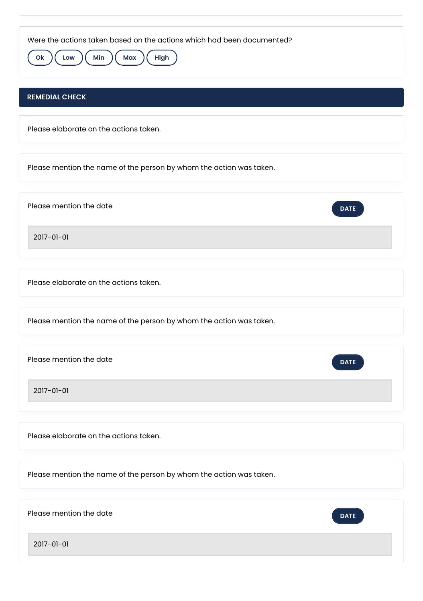| Were the actions taken based on the actions which had been documented?<br>$($ Min<br><b>Max</b><br>High<br>Ok<br>Low |
|----------------------------------------------------------------------------------------------------------------------|
| <b>REMEDIAL CHECK</b>                                                                                                |
| Please elaborate on the actions taken.                                                                               |
| Please mention the name of the person by whom the action was taken.                                                  |
| Please mention the date<br><b>DATE</b>                                                                               |
| 2017-01-01                                                                                                           |
| Please elaborate on the actions taken.                                                                               |
| Please mention the name of the person by whom the action was taken.                                                  |
| Please mention the date<br><b>DATE</b>                                                                               |
| 2017-01-01                                                                                                           |
| Please elaborate on the actions taken.                                                                               |
| Please mention the name of the person by whom the action was taken.                                                  |
| Please mention the date<br><b>DATE</b>                                                                               |
| 2017-01-01                                                                                                           |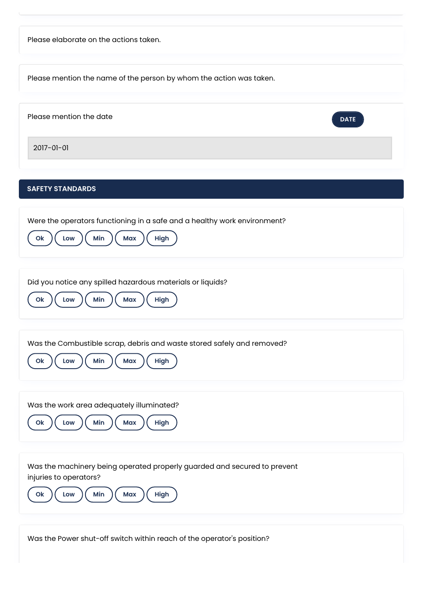| Please elaborate on the actions taken.                                                                                                            |
|---------------------------------------------------------------------------------------------------------------------------------------------------|
| Please mention the name of the person by whom the action was taken.                                                                               |
| Please mention the date<br><b>DATE</b>                                                                                                            |
| 2017-01-01                                                                                                                                        |
| <b>SAFETY STANDARDS</b>                                                                                                                           |
| Were the operators functioning in a safe and a healthy work environment?<br>Min<br>O <sub>k</sub><br>Max<br>High<br>Low                           |
| Did you notice any spilled hazardous materials or liquids?<br>Min<br>High<br>O <sub>k</sub><br>Max<br>Low                                         |
| Was the Combustible scrap, debris and waste stored safely and removed?<br>Min<br>High<br>Max<br>Low<br>O <sub>k</sub>                             |
| Was the work area adequately illuminated?<br>Min<br>O <sub>k</sub><br>Max<br>High<br>Low                                                          |
| Was the machinery being operated properly guarded and secured to prevent<br>injuries to operators?<br>Min<br>High<br>O <sub>k</sub><br>Low<br>Max |

Was the Power shut-off switch within reach of the operator's position?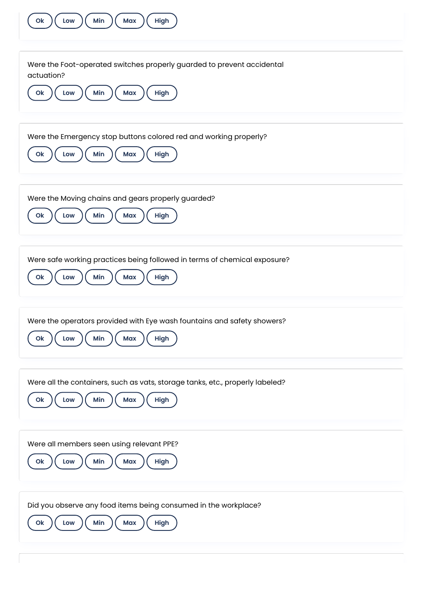| O <sub>k</sub><br>Min<br>Max<br>High<br>Low                                                                                  |
|------------------------------------------------------------------------------------------------------------------------------|
| Were the Foot-operated switches properly guarded to prevent accidental<br>actuation?                                         |
| Min<br>O <sub>k</sub><br>Max<br>High<br>Low                                                                                  |
| Were the Emergency stop buttons colored red and working properly?<br>Min<br>High<br>Max<br>Ok<br>Low                         |
| Were the Moving chains and gears properly guarded?<br>Min<br>Max<br>High<br>O <sub>k</sub><br>Low                            |
| Were safe working practices being followed in terms of chemical exposure?<br>Min<br>Max<br>High<br>O <sub>k</sub><br>Low     |
| Were the operators provided with Eye wash fountains and safety showers?<br>Min<br>High<br>Max<br>Ok<br>Low                   |
| Were all the containers, such as vats, storage tanks, etc., properly labeled?<br>Min<br>Max<br>High<br>O <sub>k</sub><br>Low |
| Were all members seen using relevant PPE?<br>Min<br>High<br>Low<br>Max<br>O <sub>k</sub>                                     |
| Did you observe any food items being consumed in the workplace?<br>Min<br>High<br>O <sub>k</sub><br>Max<br>Low               |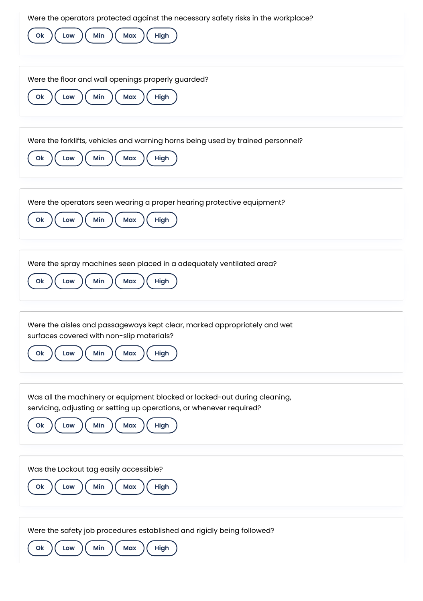| Were the operators protected against the necessary safety risks in the workplace?<br>Min<br>High<br>Max<br>Ok<br>Low                                                                 |
|--------------------------------------------------------------------------------------------------------------------------------------------------------------------------------------|
| Were the floor and wall openings properly guarded?<br>Min<br>O <sub>k</sub><br>Max<br>High<br>Low                                                                                    |
| Were the forklifts, vehicles and warning horns being used by trained personnel?<br>Min<br>Ok<br>Low<br>Max<br>High                                                                   |
| Were the operators seen wearing a proper hearing protective equipment?<br>Min<br><b>Max</b><br>High<br>Ok<br>Low                                                                     |
| Were the spray machines seen placed in a adequately ventilated area?<br>Min<br>O <sub>k</sub><br>Max<br>High<br>Low                                                                  |
| Were the aisles and passageways kept clear, marked appropriately and wet<br>surfaces covered with non-slip materials?<br>Min<br>Max<br>High<br>Ok<br>Low                             |
| Was all the machinery or equipment blocked or locked-out during cleaning,<br>servicing, adjusting or setting up operations, or whenever required?<br>Min<br>Max<br>High<br>Ok<br>Low |
| Was the Lockout tag easily accessible?<br>Min<br>Ok<br>Max<br>High<br>Low                                                                                                            |
| Were the safety job procedures established and rigidly being followed?<br>Min<br>Ok<br><b>Max</b><br><b>High</b><br>Low                                                              |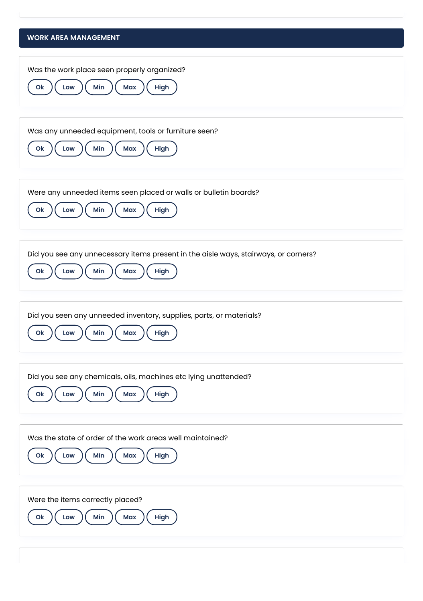## **WORK AREA MANAGEMENT** Was the work place seen properly organized? **Ok**  $\left(\begin{array}{c} \text{Low} \\ \text{M} \end{array}\right)$  **Min**  $\left(\begin{array}{c} \text{Max} \\ \text{M} \end{array}\right)$  **High** Was any unneeded equipment, tools or furniture seen? **Ok**  $)($  Low  $)($  Min  $)($  Max  $)($  High Were any unneeded items seen placed or walls or bulletin boards? **Ok**  $\left(\begin{array}{c} \text{Low} \\ \text{Low} \end{array}\right)$  ( Min  $\left(\begin{array}{c} \text{Max} \\ \text{Max} \end{array}\right)$  ( High Did you see any unnecessary items present in the aisle ways, stairways, or corners? **Ok**  $\left(\begin{array}{c} \text{Low} \\ \text{M} \end{array}\right)$  **Min**  $\left(\begin{array}{c} \text{Max} \\ \text{M} \end{array}\right)$  **High** Did you seen any unneeded inventory, supplies, parts, or materials? **Ok**  $\left(\begin{array}{c} \text{Low} \\ \text{M} \end{array}\right)$  **Min**  $\left(\begin{array}{c} \text{Max} \\ \text{M} \end{array}\right)$  **High** Did you see any chemicals, oils, machines etc lying unattended? Ok  $\left(\begin{array}{c} \text{Low} \\ \text{M} \end{array}\right)$  (Min  $\left(\begin{array}{c} \text{Max} \\ \text{M} \end{array}\right)$  (High Was the state of order of the work areas well maintained?  $O(k)$   $(\begin{array}{c} \text{Low} \\ \text{M} \end{array})$   $(\begin{array}{c} \text{Min} \\ \text{M} \end{array})$   $(\begin{array}{c} \text{Max} \\ \text{High} \end{array})$ Were the items correctly placed? **Ok**  $)($  Low  $)($  Min  $)($  Max  $)($  High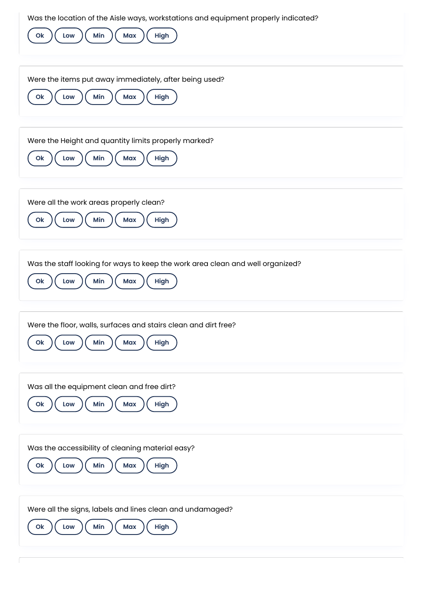| Was the location of the Aisle ways, workstations and equipment properly indicated?<br>Min<br>Max<br>High<br>O <sub>k</sub><br>Low |
|-----------------------------------------------------------------------------------------------------------------------------------|
| Were the items put away immediately, after being used?<br>Min<br>Low<br>Max<br>High<br>Ok                                         |
| Were the Height and quantity limits properly marked?<br>Min<br>Ok<br>Max<br>High<br>Low                                           |
| Were all the work areas properly clean?<br>Min<br>Max<br>High<br>Ok<br>Low                                                        |
| Was the staff looking for ways to keep the work area clean and well organized?<br>Min<br>High<br>O <sub>k</sub><br>Max<br>Low     |
| Were the floor, walls, surfaces and stairs clean and dirt free?<br>Min<br>High<br><b>Max</b><br>Ok<br>Low                         |
| Was all the equipment clean and free dirt?<br>Min<br>High<br>Ok<br>Max<br>Low                                                     |
| Was the accessibility of cleaning material easy?<br>Min<br>High<br>O <sub>k</sub><br><b>Max</b><br>Low                            |
| Were all the signs, labels and lines clean and undamaged?<br>Min<br><b>Max</b><br>High<br>Ok<br>Low                               |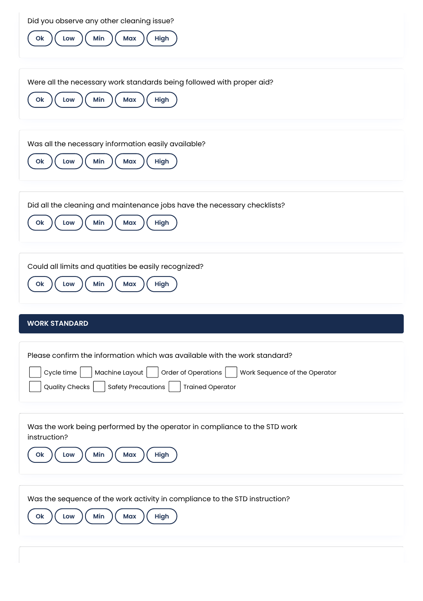| Did you observe any other cleaning issue?<br>Min<br>Max<br>High<br>Ok<br>Low                                                                                                                                                                            |
|---------------------------------------------------------------------------------------------------------------------------------------------------------------------------------------------------------------------------------------------------------|
| Were all the necessary work standards being followed with proper aid?<br>Min<br>Max<br>High<br>Ok<br>Low                                                                                                                                                |
| Was all the necessary information easily available?<br>Min<br>High<br>Ok<br>Max<br>Low                                                                                                                                                                  |
| Did all the cleaning and maintenance jobs have the necessary checklists?<br>Min<br><b>Max</b><br>High<br>Ok<br>Low                                                                                                                                      |
| Could all limits and quatities be easily recognized?<br>Min<br>Ok<br>Max<br>High<br>Low                                                                                                                                                                 |
| <b>WORK STANDARD</b>                                                                                                                                                                                                                                    |
| Please confirm the information which was available with the work standard?<br>Machine Layout  <br>Order of Operations  <br>Cycle time<br>Work Sequence of the Operator<br><b>Safety Precautions</b><br><b>Quality Checks</b><br><b>Trained Operator</b> |
| Was the work being performed by the operator in compliance to the STD work<br>instruction?<br>High<br>Ok<br>Min<br>Max<br>Low                                                                                                                           |
| Was the sequence of the work activity in compliance to the STD instruction?<br>Min<br>High<br><b>Max</b><br>Ok<br>Low                                                                                                                                   |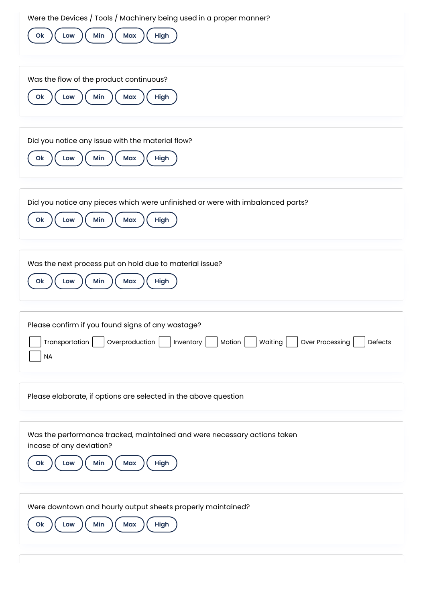| Were the Devices / Tools / Machinery being used in a proper manner?<br>Min<br>High<br>Ok<br>Max<br>Low                                                                 |
|------------------------------------------------------------------------------------------------------------------------------------------------------------------------|
| Was the flow of the product continuous?<br>Min<br>Max<br>High<br>Ok<br>Low                                                                                             |
| Did you notice any issue with the material flow?<br>Min<br>Max<br>High<br>Ok<br>Low                                                                                    |
| Did you notice any pieces which were unfinished or were with imbalanced parts?<br>Min<br>O <sub>k</sub><br>High<br>Max<br>Low                                          |
| Was the next process put on hold due to material issue?<br>Min<br><b>Max</b><br>High<br>Ok<br>Low                                                                      |
| Please confirm if you found signs of any wastage?<br>Overproduction  <br>Over Processing<br>Transportation<br>Inventory<br>Waiting<br>Motion  <br>Defects<br><b>NA</b> |
| Please elaborate, if options are selected in the above question                                                                                                        |
| Was the performance tracked, maintained and were necessary actions taken<br>incase of any deviation?<br>O <sub>k</sub><br>Min<br>High<br><b>Max</b><br>Low             |
| Were downtown and hourly output sheets properly maintained?<br>Min<br>Max<br>High<br>O <sub>k</sub><br>Low                                                             |